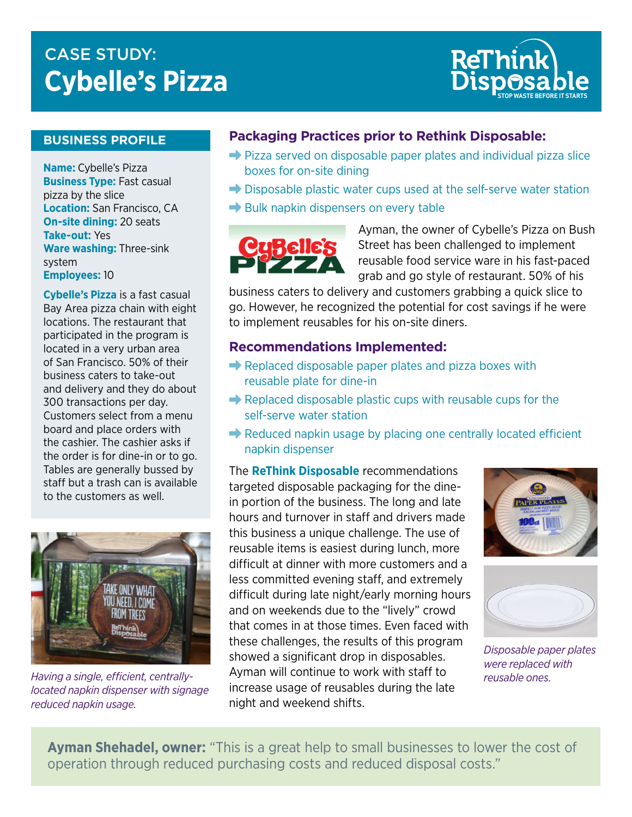# **CASE STUDY: Cybelle's Pizza**



# **BUSINESS PROFILE**

**Name:** Cybelle's Pizza **Business Type:** Fast casual pizza by the slice **Location:** San Francisco, CA **On-site dining:** 20 seats **Take-out:** Yes **Ware washing:** Three-sink system **Employees:** 10

**Cybelle's Pizza** is a fast casual Bay Area pizza chain with eight locations. The restaurant that participated in the program is located in a very urban area of San Francisco. 50% of their business caters to take-out and delivery and they do about 300 transactions per day. Customers select from a menu board and place orders with the cashier. The cashier asks if the order is for dine-in or to go. Tables are generally bussed by staff but a trash can is available to the customers as well.



*Having a single, efficient, centrallylocated napkin dispenser with signage reduced napkin usage.*

### **Packaging Practices prior to Rethink Disposable:**

- $\rightarrow$  Pizza served on disposable paper plates and individual pizza slice boxes for on-site dining
- $\rightarrow$  Disposable plastic water cups used at the self-serve water station
- $\rightarrow$  Bulk napkin dispensers on every table



Ayman, the owner of Cybelle's Pizza on Bush Street has been challenged to implement reusable food service ware in his fast-paced grab and go style of restaurant. 50% of his

business caters to delivery and customers grabbing a quick slice to go. However, he recognized the potential for cost savings if he were to implement reusables for his on-site diners.

#### **Recommendations Implemented:**

- $\rightarrow$  Replaced disposable paper plates and pizza boxes with reusable plate for dine-in
- $\rightarrow$  Replaced disposable plastic cups with reusable cups for the self-serve water station
- $\rightarrow$  Reduced napkin usage by placing one centrally located efficient napkin dispenser

The **ReThink Disposable** recommendations targeted disposable packaging for the dinein portion of the business. The long and late hours and turnover in staff and drivers made this business a unique challenge. The use of reusable items is easiest during lunch, more difficult at dinner with more customers and a less committed evening staff, and extremely difficult during late night/early morning hours and on weekends due to the "lively" crowd that comes in at those times. Even faced with these challenges, the results of this program showed a significant drop in disposables. Ayman will continue to work with staff to increase usage of reusables during the late night and weekend shifts.





*Disposable paper plates were replaced with reusable ones.*

**Ayman Shehadel, owner:** "This is a great help to small businesses to lower the cost of operation through reduced purchasing costs and reduced disposal costs."